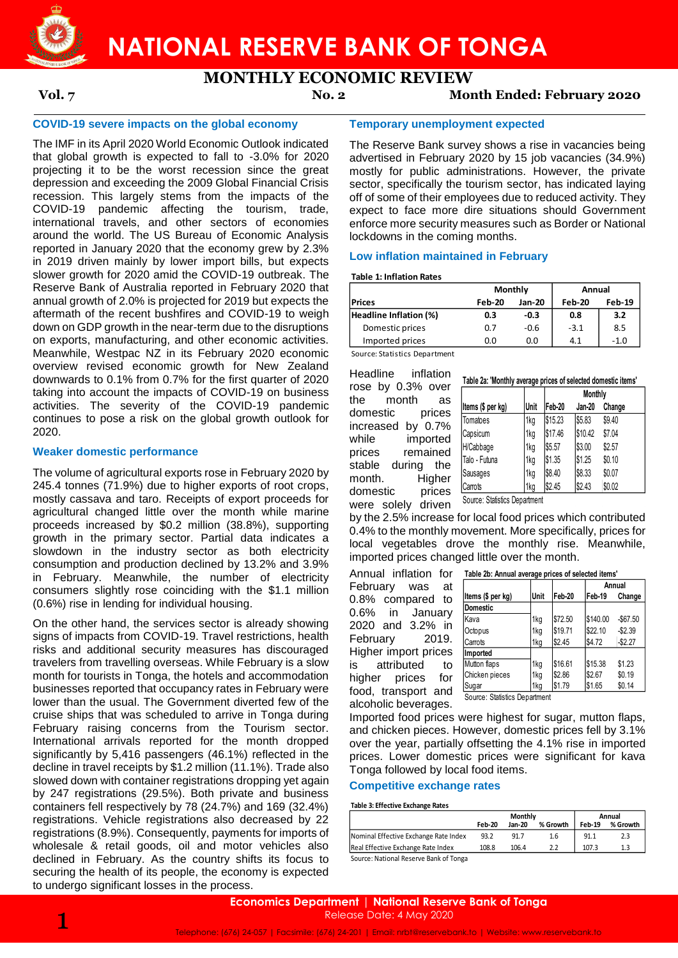

# **NATIONAL RESERVE BANK OF TONGA**

# **MONTHLY ECONOMIC REVIEW**

### **Vol. 7 No. 2 Month Ended: February 2020**

### **COVID-19 severe impacts on the global economy**

The IMF in its April 2020 World Economic Outlook indicated that global growth is expected to fall to -3.0% for 2020 projecting it to be the worst recession since the great depression and exceeding the 2009 Global Financial Crisis recession. This largely stems from the impacts of the COVID-19 pandemic affecting the tourism, trade, international travels, and other sectors of economies around the world. The US Bureau of Economic Analysis reported in January 2020 that the economy grew by 2.3% in 2019 driven mainly by lower import bills, but expects slower growth for 2020 amid the COVID-19 outbreak. The Reserve Bank of Australia reported in February 2020 that annual growth of 2.0% is projected for 2019 but expects the aftermath of the recent bushfires and COVID-19 to weigh down on GDP growth in the near-term due to the disruptions on exports, manufacturing, and other economic activities. Meanwhile, Westpac NZ in its February 2020 economic overview revised economic growth for New Zealand downwards to 0.1% from 0.7% for the first quarter of 2020 taking into account the impacts of COVID-19 on business activities. The severity of the COVID-19 pandemic continues to pose a risk on the global growth outlook for 2020.

### **Weaker domestic performance**

The volume of agricultural exports rose in February 2020 by 245.4 tonnes (71.9%) due to higher exports of root crops, mostly cassava and taro. Receipts of export proceeds for agricultural changed little over the month while marine proceeds increased by \$0.2 million (38.8%), supporting growth in the primary sector. Partial data indicates a slowdown in the industry sector as both electricity consumption and production declined by 13.2% and 3.9% in February. Meanwhile, the number of electricity consumers slightly rose coinciding with the \$1.1 million (0.6%) rise in lending for individual housing.

On the other hand, the services sector is already showing signs of impacts from COVID-19. Travel restrictions, health risks and additional security measures has discouraged travelers from travelling overseas. While February is a slow month for tourists in Tonga, the hotels and accommodation businesses reported that occupancy rates in February were lower than the usual. The Government diverted few of the cruise ships that was scheduled to arrive in Tonga during February raising concerns from the Tourism sector. International arrivals reported for the month dropped significantly by 5,416 passengers (46.1%) reflected in the decline in travel receipts by \$1.2 million (11.1%). Trade also slowed down with container registrations dropping yet again by 247 registrations (29.5%). Both private and business containers fell respectively by 78 (24.7%) and 169 (32.4%) registrations. Vehicle registrations also decreased by 22 registrations (8.9%). Consequently, payments for imports of wholesale & retail goods, oil and motor vehicles also declined in February. As the country shifts its focus to securing the health of its people, the economy is expected to undergo significant losses in the process.

### **Temporary unemployment expected**

The Reserve Bank survey shows a rise in vacancies being advertised in February 2020 by 15 job vacancies (34.9%) mostly for public administrations. However, the private sector, specifically the tourism sector, has indicated laying off of some of their employees due to reduced activity. They expect to face more dire situations should Government enforce more security measures such as Border or National lockdowns in the coming months.

### **Low inflation maintained in February**

### **Table 1: Inflation Rates**

|                        | Monthly       |        | Annual |        |  |
|------------------------|---------------|--------|--------|--------|--|
| <b>Prices</b>          | <b>Feb-20</b> | Jan-20 | Feb-20 | Feb-19 |  |
| Headline Inflation (%) | 0.3           | $-0.3$ | 0.8    | 3.2    |  |
| Domestic prices        | 0.7           | $-0.6$ | $-3.1$ | 8.5    |  |
| Imported prices        | 0.0           | 0.0    | 4.1    | -1.0   |  |

Source: Statistics Department

Headline inflation rose by 0.3% over the month as domestic prices increased by 0.7% while imported prices remained stable during the month. Higher domestic prices were solely driven

|                   |      |         | <b>Monthly</b> |        |
|-------------------|------|---------|----------------|--------|
| Items (\$ per kg) | Unit | Feb-20  | Jan-20         | Change |
| Tomatoes          | 1kg  | \$15.23 | \$5.83         | \$9.40 |
| Capsicum          | 1kg  | \$17.46 | \$10.42        | \$7.04 |
| H/Cabbage         | 1kg  | \$5.57  | \$3.00         | \$2.57 |
| Talo - Futuna     | 1kg  | \$1.35  | \$1.25         | \$0.10 |
| Sausages          | 1kg  | \$8.40  | \$8.33         | \$0.07 |
| Carrots           | 1kg  | \$2.45  | \$2.43         | \$0.02 |

Source: Statistics Department

by the 2.5% increase for local food prices which contributed 0.4% to the monthly movement. More specifically, prices for local vegetables drove the monthly rise. Meanwhile, imported prices changed little over the month.

Annual inflation for February was at 0.8% compared to 0.6% in January 2020 and 3.2% in February 2019. Higher import prices is attributed to higher prices for food, transport and alcoholic beverages.

| Table 2b: Annual average prices of selected items' |  |  |  |
|----------------------------------------------------|--|--|--|
|                                                    |  |  |  |

|                               |      |         |          | Annual    |
|-------------------------------|------|---------|----------|-----------|
| Items (\$ per kg)             | Unit | Feb-20  | Feb-19   | Change    |
| Domestic                      |      |         |          |           |
| lKava                         | 1kg  | \$72.50 | \$140.00 | $-$67.50$ |
| Octopus                       | 1kg  | \$19.71 | \$22.10  | $-$2.39$  |
| Carrots                       | 1kg  | \$2.45  | \$4.72   | $-$2.27$  |
| Imported                      |      |         |          |           |
| Mutton flaps                  | 1kg  | \$16.61 | \$15.38  | \$1.23    |
| Chicken pieces                | 1kg  | \$2.86  | \$2.67   | \$0.19    |
| Sugar                         | 1kg  | \$1.79  | \$1.65   | \$0.14    |
| Course: Ctatistics Department |      |         |          |           |

Source: Statistics Department

Imported food prices were highest for sugar, mutton flaps, and chicken pieces. However, domestic prices fell by 3.1% over the year, partially offsetting the 4.1% rise in imported prices. Lower domestic prices were significant for kava Tonga followed by local food items.

### **Competitive exchange rates**

### **Table 3: Effective Exchange Rates**

| <b>Monthly</b> |        |          | Annual |          |  |
|----------------|--------|----------|--------|----------|--|
| Feb-20         | Jan-20 | % Growth | Feb-19 | % Growth |  |
| 93.2           | 91.7   | 1.6      | 91.1   | 2.3      |  |
| 108.8          | 106.4  |          | 107.3  |          |  |
|                |        |          |        |          |  |

Source: National Reserve Bank of Tonga

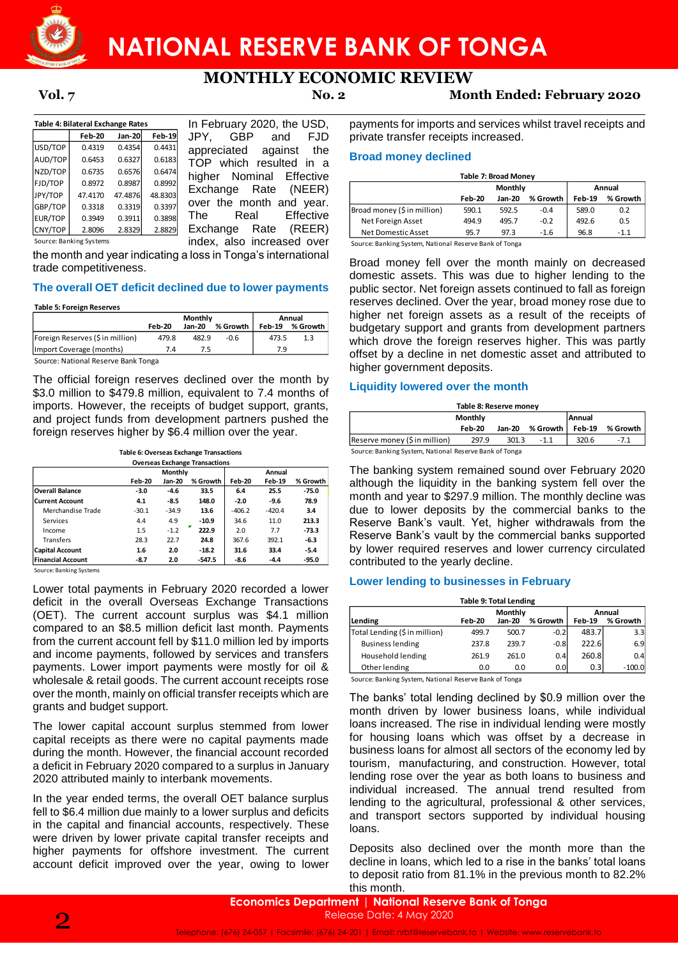

# **MONTHLY ECONOMIC REVIEW**

**Table 4: Bilateral Exchange Rates Feb-20 Jan-20 Feb-19** USD/TOP 0.4319 0.4354 0.4431 AUD/TOP 0.6453 0.6327 0.6183 NZD/TOP 0.6735 0.6576 0.6474 FJD/TOP 0.8972 0.8987 0.8992 JPY/TOP 47.4170 47.4876 48.8303 GBP/TOP 0.3318 0.3319 0.3397 EUR/TOP 0.3949 0.3911 0.3898 CNY/TOP 2.8096 2.8329 2.8829 Source: Banking Systems

In February 2020, the USD, JPY, GBP and FJD appreciated against the TOP which resulted in a higher Nominal Effective Exchange Rate (NEER) over the month and year. The Real Effective Exchange Rate (REER) index, also increased over

the month and year indicating a loss in Tonga's international trade competitiveness.

### **The overall OET deficit declined due to lower payments**

|                                     |        | Monthly | Annual   |               |          |
|-------------------------------------|--------|---------|----------|---------------|----------|
|                                     | Feb-20 | Jan-20  | % Growth | <b>Feb-19</b> | % Growth |
| Foreign Reserves (\$ in million)    | 479.8  | 482.9   | $-0.6$   | 473.5         | 1.3      |
| (Import Coverage (months)           | 7.4    |         |          | 7.9           |          |
| Course: National Besenie Bank Tonga |        |         |          |               |          |

Source: National Reserve Bank Tonga

The official foreign reserves declined over the month by \$3.0 million to \$479.8 million, equivalent to 7.4 months of imports. However, the receipts of budget support, grants, and project funds from development partners pushed the foreign reserves higher by \$6.4 million over the year.

| <b>Overseas Exchange Transactions</b> |         |         |          |          |               |          |  |  |
|---------------------------------------|---------|---------|----------|----------|---------------|----------|--|--|
|                                       |         | Monthly |          | Annual   |               |          |  |  |
|                                       | Feb-20  | Jan-20  | % Growth | Feb-20   | <b>Feb-19</b> | % Growth |  |  |
| <b>Overall Balance</b>                | -3.0    | -4.6    | 33.5     | 6.4      | 25.5          | $-75.0$  |  |  |
| <b>Current Account</b>                | 4.1     | -8.5    | 148.0    | $-2.0$   | $-9.6$        | 78.9     |  |  |
| Merchandise Trade                     | $-30.1$ | $-34.9$ | 13.6     | $-406.2$ | $-420.4$      | 3.4      |  |  |
| Services                              | 4.4     | 4.9     | $-10.9$  | 34.6     | 11.0          | 213.3    |  |  |
| Income                                | 1.5     | $-1.2$  | 222.9    | 2.0      | 7.7           | $-73.3$  |  |  |
| <b>Transfers</b>                      | 28.3    | 22.7    | 24.8     | 367.6    | 392.1         | $-6.3$   |  |  |
| <b>Capital Account</b>                | 1.6     | 2.0     | $-18.2$  | 31.6     | 33.4          | $-5.4$   |  |  |
| <b>Financial Account</b>              | $-8.7$  | 2.0     | $-547.5$ | -8.6     | $-4.4$        | $-95.0$  |  |  |

Source: Banking Systems

Lower total payments in February 2020 recorded a lower deficit in the overall Overseas Exchange Transactions (OET). The current account surplus was \$4.1 million compared to an \$8.5 million deficit last month. Payments from the current account fell by \$11.0 million led by imports and income payments, followed by services and transfers payments. Lower import payments were mostly for oil & wholesale & retail goods. The current account receipts rose over the month, mainly on official transfer receipts which are grants and budget support. The Estimation of the team of the state of the state of the state of the state of the state of the state of the state of the state of the state of the state of the state of the state of the state of the state of the state

The lower capital account surplus stemmed from lower capital receipts as there were no capital payments made during the month. However, the financial account recorded a deficit in February 2020 compared to a surplus in January 2020 attributed mainly to interbank movements.

In the year ended terms, the overall OET balance surplus fell to \$6.4 million due mainly to a lower surplus and deficits in the capital and financial accounts, respectively. These were driven by lower private capital transfer receipts and higher payments for offshore investment. The current account deficit improved over the year, owing to lower

**Vol. 7 No. 2 Month Ended: February 2020**

payments for imports and services whilst travel receipts and private transfer receipts increased.

### **Broad money declined**

| Table 7: Broad Money        |        |         |          |               |          |  |  |
|-----------------------------|--------|---------|----------|---------------|----------|--|--|
|                             |        | Monthly | Annual   |               |          |  |  |
|                             | Feb-20 | Jan-20  | % Growth | <b>Feb-19</b> | % Growth |  |  |
| Broad money (\$ in million) | 590.1  | 592.5   | $-0.4$   | 589.0         | 0.2      |  |  |
| Net Foreign Asset           | 494.9  | 495.7   | $-0.2$   | 492.6         | 0.5      |  |  |
| Net Domestic Asset          | 95.7   | 97.3    | $-1.6$   | 96.8          | $-1.1$   |  |  |

Source: Banking System, National Reserve Bank of Tonga

Broad money fell over the month mainly on decreased domestic assets. This was due to higher lending to the public sector. Net foreign assets continued to fall as foreign reserves declined. Over the year, broad money rose due to higher net foreign assets as a result of the receipts of budgetary support and grants from development partners which drove the foreign reserves higher. This was partly offset by a decline in net domestic asset and attributed to higher government deposits. **Table 7: Decay Strong Propositions**<br> **Table 7: Broad Money** (Sin million) 38319 [Exchange Rate (NEER) The Real Effective Net-Toreign Asset and 2013 1925.5<br> **The Real Effective Net-Toreign Asset and 2013**<br> **The Real Effect** 

### **Liquidity lowered over the month**

| Table 8: Reserve money                                 |        |        |          |               |          |  |
|--------------------------------------------------------|--------|--------|----------|---------------|----------|--|
| Annual<br>Monthly                                      |        |        |          |               |          |  |
|                                                        | Feb-20 | Jan-20 | % Growth | <b>Feb-19</b> | % Growth |  |
| Reserve money (\$ in million)                          | $-1.1$ | 320.6  | -7.1     |               |          |  |
| Source: Banking System, National Reserve Bank of Tonga |        |        |          |               |          |  |

The banking system remained sound over February 2020 although the liquidity in the banking system fell over the month and year to \$297.9 million. The monthly decline was due to lower deposits by the commercial banks to the Reserve Bank's vault. Yet, higher withdrawals from the Reserve Bank's vault by the commercial banks supported by lower required reserves and lower currency circulated contributed to the yearly decline.

### **Lower lending to businesses in February**

| <b>Table 9: Total Lending</b> |         |          |       |               |  |  |  |  |
|-------------------------------|---------|----------|-------|---------------|--|--|--|--|
|                               | Monthly |          |       | Annual        |  |  |  |  |
| <b>Feb-20</b>                 | Jan-20  | % Growth |       | % Growth      |  |  |  |  |
| 499.7                         | 500.7   | $-0.2$   | 483.7 | 3.3           |  |  |  |  |
| 237.8                         | 239.7   | $-0.8$   | 222.6 | 6.9           |  |  |  |  |
| 261.9                         | 261.0   | 0.4      | 260.8 | 0.4           |  |  |  |  |
| 0.0                           | 0.0     | 0.0      | 0.3   | $-100.0$      |  |  |  |  |
|                               |         |          |       | <b>Feb-19</b> |  |  |  |  |

Source: Banking System, National Reserve Bank of Tonga

The banks' total lending declined by \$0.9 million over the month driven by lower business loans, while individual loans increased. The rise in individual lending were mostly for housing loans which was offset by a decrease in business loans for almost all sectors of the economy led by tourism, manufacturing, and construction. However, total lending rose over the year as both loans to business and individual increased. The annual trend resulted from lending to the agricultural, professional & other services, and transport sectors supported by individual housing loans.

Deposits also declined over the month more than the decline in loans, which led to a rise in the banks' total loans to deposit ratio from 81.1% in the previous month to 82.2%